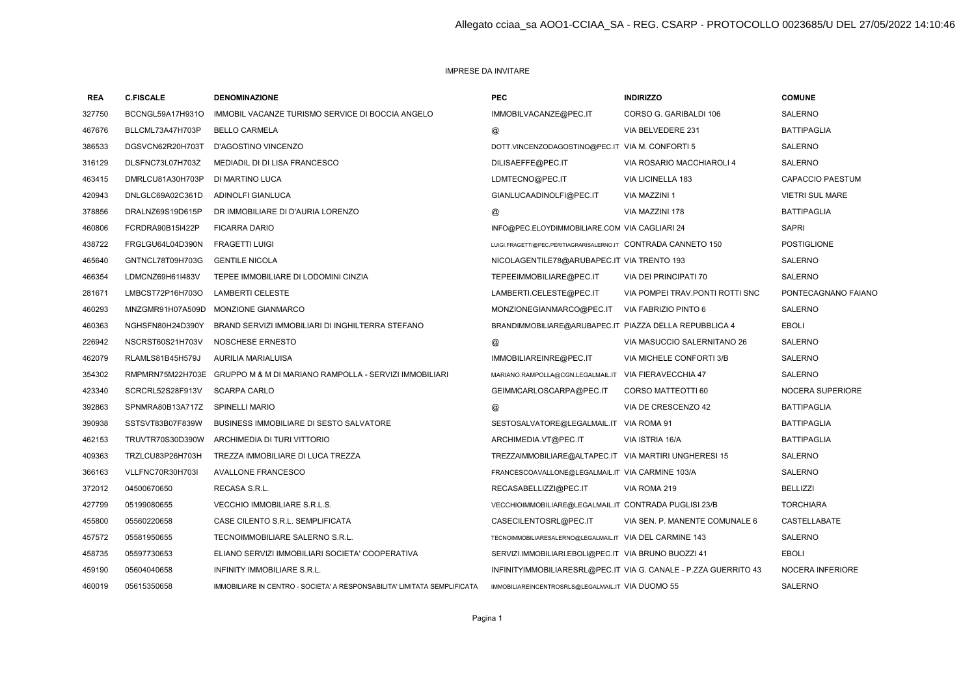## IMPRESE DA INVITARE

| <b>REA</b> | <b>C.FISCALE</b> | <b>DENOMINAZIONE</b>                                                     | <b>PEC</b>                                                     | <b>INDIRIZZO</b>                                                | <b>COMUNE</b>           |
|------------|------------------|--------------------------------------------------------------------------|----------------------------------------------------------------|-----------------------------------------------------------------|-------------------------|
| 327750     | BCCNGL59A17H931O | IMMOBIL VACANZE TURISMO SERVICE DI BOCCIA ANGELO                         | IMMOBILVACANZE@PEC.IT                                          | CORSO G. GARIBALDI 106                                          | SALERNO                 |
| 467676     | BLLCML73A47H703P | <b>BELLO CARMELA</b>                                                     | @                                                              | VIA BELVEDERE 231                                               | <b>BATTIPAGLIA</b>      |
| 386533     | DGSVCN62R20H703T | D'AGOSTINO VINCENZO                                                      | DOTT.VINCENZODAGOSTINO@PEC.IT VIA M. CONFORTI 5                |                                                                 | <b>SALERNO</b>          |
| 316129     | DLSFNC73L07H703Z | MEDIADIL DI DI LISA FRANCESCO                                            | DILISAEFFE@PEC.IT                                              | VIA ROSARIO MACCHIAROLI 4                                       | <b>SALERNO</b>          |
| 463415     | DMRLCU81A30H703P | DI MARTINO LUCA                                                          | LDMTECNO@PEC.IT                                                | VIA LICINELLA 183                                               | <b>CAPACCIO PAESTUM</b> |
| 420943     | DNLGLC69A02C361D | ADINOLFI GIANLUCA                                                        | GIANLUCAADINOLFI@PEC.IT                                        | VIA MAZZINI 1                                                   | <b>VIETRI SUL MARE</b>  |
| 378856     | DRALNZ69S19D615P | DR IMMOBILIARE DI D'AURIA LORENZO                                        | @                                                              | VIA MAZZINI 178                                                 | <b>BATTIPAGLIA</b>      |
| 460806     | FCRDRA90B15I422P | <b>FICARRA DARIO</b>                                                     | INFO@PEC.ELOYDIMMOBILIARE.COM VIA CAGLIARI 24                  |                                                                 | <b>SAPRI</b>            |
| 438722     | FRGLGU64L04D390N | <b>FRAGETTI LUIGI</b>                                                    | LUIGI.FRAGETTI@PEC.PERITIAGRARISALERNO.IT CONTRADA CANNETO 150 |                                                                 | <b>POSTIGLIONE</b>      |
| 465640     | GNTNCL78T09H703G | <b>GENTILE NICOLA</b>                                                    | NICOLAGENTILE78@ARUBAPEC.IT VIA TRENTO 193                     |                                                                 | SALERNO                 |
| 466354     | LDMCNZ69H61I483V | TEPEE IMMOBILIARE DI LODOMINI CINZIA                                     | TEPEEIMMOBILIARE@PEC.IT                                        | VIA DEI PRINCIPATI 70                                           | SALERNO                 |
| 281671     | LMBCST72P16H703O | <b>LAMBERTI CELESTE</b>                                                  | LAMBERTI.CELESTE@PEC.IT                                        | VIA POMPEI TRAV. PONTI ROTTI SNC                                | PONTECAGNANO FAIANO     |
| 460293     | MNZGMR91H07A509D | <b>MONZIONE GIANMARCO</b>                                                | MONZIONEGIANMARCO@PEC.IT                                       | VIA FABRIZIO PINTO 6                                            | <b>SALERNO</b>          |
| 460363     | NGHSFN80H24D390Y | BRAND SERVIZI IMMOBILIARI DI INGHILTERRA STEFANO                         | BRANDIMMOBILIARE@ARUBAPEC.IT PIAZZA DELLA REPUBBLICA 4         |                                                                 | <b>EBOLI</b>            |
| 226942     | NSCRST60S21H703V | NOSCHESE ERNESTO                                                         | @                                                              | VIA MASUCCIO SALERNITANO 26                                     | <b>SALERNO</b>          |
| 462079     | RLAMLS81B45H579J | AURILIA MARIALUISA                                                       | IMMOBILIAREINRE@PEC.IT                                         | VIA MICHELE CONFORTI 3/B                                        | <b>SALERNO</b>          |
| 354302     |                  | RMPMRN75M22H703E GRUPPO M & M DI MARIANO RAMPOLLA - SERVIZI IMMOBILIARI  | MARIANO.RAMPOLLA@CGN.LEGALMAIL.IT                              | VIA FIERAVECCHIA 47                                             | <b>SALERNO</b>          |
| 423340     | SCRCRL52S28F913V | <b>SCARPA CARLO</b>                                                      | GEIMMCARLOSCARPA@PEC.IT                                        | CORSO MATTEOTTI 60                                              | NOCERA SUPERIORE        |
| 392863     | SPNMRA80B13A717Z | SPINELLI MARIO                                                           | @                                                              | VIA DE CRESCENZO 42                                             | <b>BATTIPAGLIA</b>      |
| 390938     | SSTSVT83B07F839W | BUSINESS IMMOBILIARE DI SESTO SALVATORE                                  | SESTOSALVATORE@LEGALMAIL.IT VIA ROMA 91                        |                                                                 | <b>BATTIPAGLIA</b>      |
| 462153     | TRUVTR70S30D390W | ARCHIMEDIA DI TURI VITTORIO                                              | ARCHIMEDIA.VT@PEC.IT                                           | VIA ISTRIA 16/A                                                 | <b>BATTIPAGLIA</b>      |
| 409363     | TRZLCU83P26H703H | TREZZA IMMOBILIARE DI LUCA TREZZA                                        | TREZZAIMMOBILIARE@ALTAPEC.IT VIA MARTIRI UNGHERESI 15          |                                                                 | <b>SALERNO</b>          |
| 366163     | VLLFNC70R30H703I | <b>AVALLONE FRANCESCO</b>                                                | FRANCESCOAVALLONE@LEGALMAIL.IT VIA CARMINE 103/A               |                                                                 | <b>SALERNO</b>          |
| 372012     | 04500670650      | RECASA S.R.L.                                                            | RECASABELLIZZI@PEC.IT                                          | VIA ROMA 219                                                    | <b>BELLIZZI</b>         |
| 427799     | 05199080655      | <b>VECCHIO IMMOBILIARE S.R.L.S.</b>                                      | VECCHIOIMMOBILIARE@LEGALMAIL.IT CONTRADA PUGLISI 23/B          |                                                                 | <b>TORCHIARA</b>        |
| 455800     | 05560220658      | CASE CILENTO S.R.L. SEMPLIFICATA                                         | CASECILENTOSRL@PEC.IT                                          | VIA SEN. P. MANENTE COMUNALE 6                                  | CASTELLABATE            |
| 457572     | 05581950655      | TECNOIMMOBILIARE SALERNO S.R.L.                                          | TECNOIMMOBILIARESALERNO@LEGALMAIL.IT VIA DEL CARMINE 143       |                                                                 | SALERNO                 |
| 458735     | 05597730653      | ELIANO SERVIZI IMMOBILIARI SOCIETA' COOPERATIVA                          | SERVIZI.IMMOBILIARI.EBOLI@PEC.IT VIA BRUNO BUOZZI 41           |                                                                 | <b>EBOLI</b>            |
| 459190     | 05604040658      | INFINITY IMMOBILIARE S.R.L.                                              |                                                                | INFINITYIMMOBILIARESRL@PEC.IT VIA G. CANALE - P.ZZA GUERRITO 43 | NOCERA INFERIORE        |
| 460019     | 05615350658      | IMMOBILIARE IN CENTRO - SOCIETA' A RESPONSABILITA' LIMITATA SEMPLIFICATA | IMMOBILIAREINCENTROSRLS@LEGALMAIL.IT VIA DUOMO 55              |                                                                 | SALERNO                 |